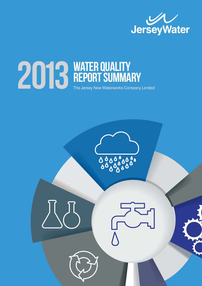

# **2013 WATER QUALITY**<br>The Jersey New Waterworks Com REPORT SUMMARY The Jersey New Waterworks Company Limited

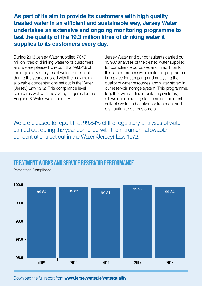**As part of its aim to provide its customers with high quality treated water in an efficient and sustainable way, Jersey Water undertakes an extensive and ongoing monitoring programme to test the quality of the 19.3 million litres of drinking water it supplies to its customers every day.**

During 2013 Jersey Water supplied 7,047 million litres of drinking water to its customers and we are pleased to report that 99.84% of the regulatory analyses of water carried out during the year complied with the maximum allowable concentrations set out in the Water (Jersey) Law 1972. This compliance level compares well with the average figures for the England & Wales water industry.

Jersey Water and our consultants carried out 13,987 analyses of the treated water supplied for compliance purposes and in addition to this, a comprehensive monitoring programme is in place for sampling and analysing the quality of water resources and water stored in our reservoir storage system. This programme, together with on-line monitoring systems, allows our operating staff to select the most suitable water to be taken for treatment and distribution to our customers.

We are pleased to report that 99.84% of the regulatory analyses of water carried out during the year complied with the maximum allowable concentrations set out in the Water (Jersey) Law 1972.

#### Treatment Works and Service Reservoir Performance

Percentage Compliance



Download the full report from **www.jerseywater.je/waterquality**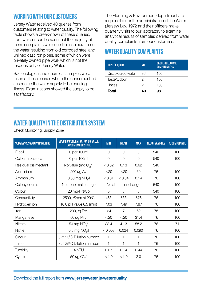### Working with our Customers

Jersey Water received 40 queries from customers relating to water quality. The following table shows a break-down of these queries, from which it can be seen that the majority of these complaints were due to discolouration of the water resulting from old corroded steel and unlined cast iron pipes, some of which were privately owned pipe work which is not the responsibility of Jersey Water.

Bacteriological and chemical samples were taken at the premises where the consumer had suspected the water supply to be causing illness. Examinations showed the supply to be satisfactory.

The Planning & Environment department are responsible for the administration of the Water (Jersey) Law 1972 and their officers make quarterly visits to our laboratory to examine analytical results of samples derived from water quality complaints from our customers.

## WATER OUAL ITY COMPLAINTS

| <b>TYPE OF QUERY</b> | N <sub>0</sub> | <b>BACTERIOLOGICAL</b><br><b>COMPLIANCE %</b> |  |
|----------------------|----------------|-----------------------------------------------|--|
| Discoloured water    | 36             | 100                                           |  |
| Taste/Odour          | 2              | 100                                           |  |
| <b>Illness</b>       | 2              | 100                                           |  |
| Total                | 40             | 98                                            |  |

## WATER QUALITY IN THE DISTRIBUTION SYSTEM

| <b>SUBSTANCES AND PARAMETERS</b> | <b>SPECIFIC CONCENTRATION OR VALUE</b><br><b>(MAXIMUM) OR STATE</b> | <b>MIN</b> | <b>MEAN</b>        | <b>MAX</b> | <b>NO. OF SAMPLES</b> | % COMPLIANCE |
|----------------------------------|---------------------------------------------------------------------|------------|--------------------|------------|-----------------------|--------------|
| E.coli                           | 0 per 100ml                                                         | $\Omega$   | $\Omega$           | $\Omega$   | 540                   | 100          |
| Coliform bacteria                | 0 per 100ml                                                         | $\Omega$   | $\Omega$           | $\Omega$   | 540                   | 100          |
| Residual disinfectant            | No value (mg Cl./l)                                                 | < 0.02     | 0.13               | 0.62       | 540                   |              |
| Aluminium                        | $200 \mu g$ Al/I                                                    | $<$ 20     | $<$ 20             | 69         | 76                    | 100          |
| Ammonium                         | 0.50 mg NH <sub>1</sub> /I                                          | < 0.01     | < 0.04             | 0.14       | 76                    | 100          |
| Colony counts                    | No abnormal change                                                  |            | No abnormal change |            | 540                   | 100          |
| Colour                           | 20 mg/l Pt/Co                                                       | 5          | 5                  | 5          | 540                   | 100          |
| Conductivity                     | 2500 µS/cm at 20°C                                                  | 463        | 533                | 576        | 76                    | 100          |
| Hydrogen ion                     | 10.0 pH value 6.5 (min)                                             | 7.03       | 7.49               | 7.87       | 76                    | 100          |
| Iron                             | 200 µg Fe/l                                                         | $\leq 4$   | $\overline{7}$     | 69         | 78                    | 100          |
| Manganese                        | $50 \mu g$ Mn/l                                                     | $<$ 20     | $<$ 20             | 31.4       | 76                    | 100          |
| Nitrate                          | 50 mg NO <sub>2</sub> /I                                            | 22.4       | 41.3               | 58.2       | 76                    | 71           |
| Nitrite                          | $0.5$ mg NO $\sqrt{1}$                                              | < 0.003    | 0.024              | 0.090      | 76                    | 100          |
| Odour                            | 3 at 25°C Dilution number                                           | 1          | 1                  | 1          | 76                    | 100          |
| Taste                            | 3 at 25°C Dilution number                                           | 1          | 1                  | 1          | 76                    | 100          |
| Turbidity                        | 4 NTU                                                               | 0.07       | 0.14               | 0.44       | 76                    | 100          |
| Cyanide                          | $50 \mu$ g CN/I                                                     | < 1.0      | < 1.0              | 3.0        | 76                    | 100          |

Check Monitoring: Supply Zone